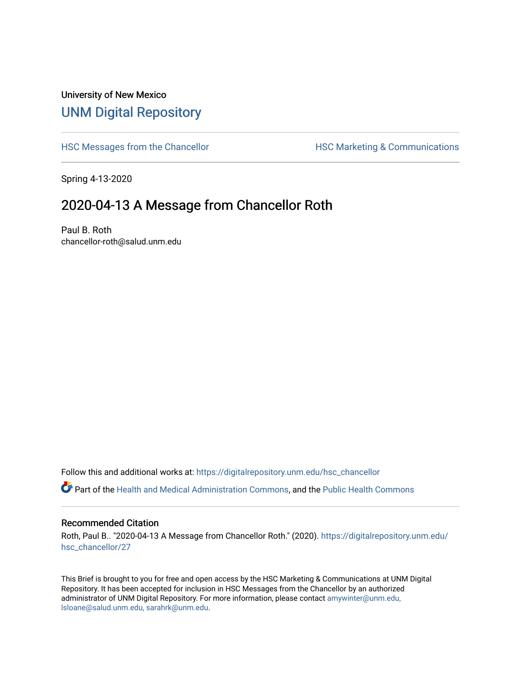## University of New Mexico [UNM Digital Repository](https://digitalrepository.unm.edu/)

[HSC Messages from the Chancellor](https://digitalrepository.unm.edu/hsc_chancellor) **HSC Marketing & Communications** 

Spring 4-13-2020

## 2020-04-13 A Message from Chancellor Roth

Paul B. Roth chancellor-roth@salud.unm.edu

Follow this and additional works at: [https://digitalrepository.unm.edu/hsc\\_chancellor](https://digitalrepository.unm.edu/hsc_chancellor?utm_source=digitalrepository.unm.edu%2Fhsc_chancellor%2F27&utm_medium=PDF&utm_campaign=PDFCoverPages) 

Part of the [Health and Medical Administration Commons](http://network.bepress.com/hgg/discipline/663?utm_source=digitalrepository.unm.edu%2Fhsc_chancellor%2F27&utm_medium=PDF&utm_campaign=PDFCoverPages), and the [Public Health Commons](http://network.bepress.com/hgg/discipline/738?utm_source=digitalrepository.unm.edu%2Fhsc_chancellor%2F27&utm_medium=PDF&utm_campaign=PDFCoverPages) 

## Recommended Citation

Roth, Paul B.. "2020-04-13 A Message from Chancellor Roth." (2020). [https://digitalrepository.unm.edu/](https://digitalrepository.unm.edu/hsc_chancellor/27?utm_source=digitalrepository.unm.edu%2Fhsc_chancellor%2F27&utm_medium=PDF&utm_campaign=PDFCoverPages) [hsc\\_chancellor/27](https://digitalrepository.unm.edu/hsc_chancellor/27?utm_source=digitalrepository.unm.edu%2Fhsc_chancellor%2F27&utm_medium=PDF&utm_campaign=PDFCoverPages) 

This Brief is brought to you for free and open access by the HSC Marketing & Communications at UNM Digital Repository. It has been accepted for inclusion in HSC Messages from the Chancellor by an authorized administrator of UNM Digital Repository. For more information, please contact [amywinter@unm.edu,](mailto:amywinter@unm.edu,%20lsloane@salud.unm.edu,%20sarahrk@unm.edu) [lsloane@salud.unm.edu, sarahrk@unm.edu.](mailto:amywinter@unm.edu,%20lsloane@salud.unm.edu,%20sarahrk@unm.edu)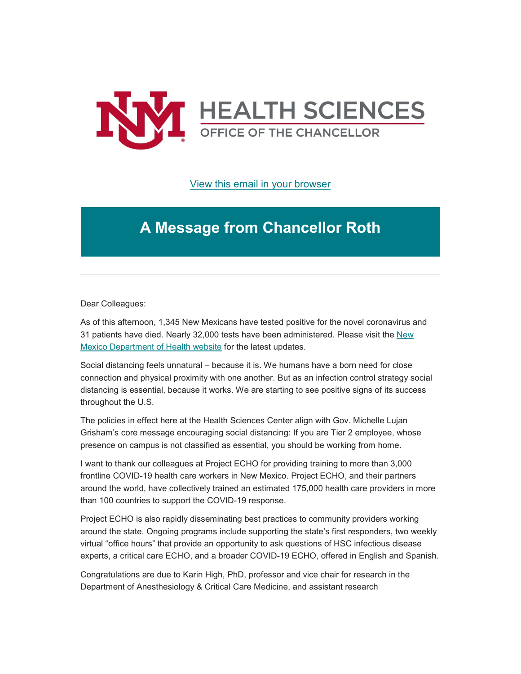

[View this email in your browser](https://mailchi.mp/76f2e171fbd2/message-from-the-chancellor-coronavirus-4383628?e=b4bbfca2c0)

## **A Message from Chancellor Roth**

Dear Colleagues:

As of this afternoon, 1,345 New Mexicans have tested positive for the novel coronavirus and 31 patients have died. Nearly 32,000 tests have been administered. Please visit the [New](https://unm.us19.list-manage.com/track/click?u=59ce53c1a4dedb490bac78648&id=16baea935c&e=b4bbfca2c0)  [Mexico Department of Health website](https://unm.us19.list-manage.com/track/click?u=59ce53c1a4dedb490bac78648&id=16baea935c&e=b4bbfca2c0) for the latest updates.

Social distancing feels unnatural – because it is. We humans have a born need for close connection and physical proximity with one another. But as an infection control strategy social distancing is essential, because it works. We are starting to see positive signs of its success throughout the U.S.

The policies in effect here at the Health Sciences Center align with Gov. Michelle Lujan Grisham's core message encouraging social distancing: If you are Tier 2 employee, whose presence on campus is not classified as essential, you should be working from home.

I want to thank our colleagues at Project ECHO for providing training to more than 3,000 frontline COVID-19 health care workers in New Mexico. Project ECHO, and their partners around the world, have collectively trained an estimated 175,000 health care providers in more than 100 countries to support the COVID-19 response.

Project ECHO is also rapidly disseminating best practices to community providers working around the state. Ongoing programs include supporting the state's first responders, two weekly virtual "office hours" that provide an opportunity to ask questions of HSC infectious disease experts, a critical care ECHO, and a broader COVID-19 ECHO, offered in English and Spanish.

Congratulations are due to Karin High, PhD, professor and vice chair for research in the Department of Anesthesiology & Critical Care Medicine, and assistant research